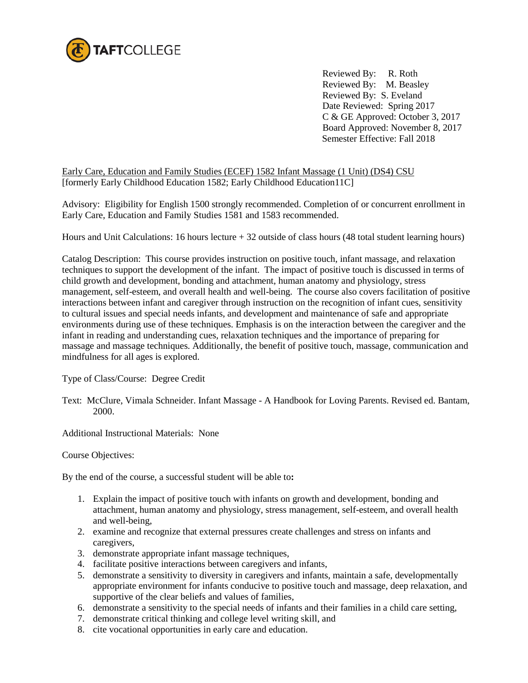

 Reviewed By: R. Roth Reviewed By: M. Beasley Reviewed By: S. Eveland Date Reviewed: Spring 2017 C & GE Approved: October 3, 2017 Board Approved: November 8, 2017 Semester Effective: Fall 2018

Early Care, Education and Family Studies (ECEF) 1582 Infant Massage (1 Unit) (DS4) CSU [formerly Early Childhood Education 1582; Early Childhood Education11C]

Advisory: Eligibility for English 1500 strongly recommended. Completion of or concurrent enrollment in Early Care, Education and Family Studies 1581 and 1583 recommended.

Hours and Unit Calculations: 16 hours lecture + 32 outside of class hours (48 total student learning hours)

Catalog Description: This course provides instruction on positive touch, infant massage, and relaxation techniques to support the development of the infant. The impact of positive touch is discussed in terms of child growth and development, bonding and attachment, human anatomy and physiology, stress management, self-esteem, and overall health and well-being. The course also covers facilitation of positive interactions between infant and caregiver through instruction on the recognition of infant cues, sensitivity to cultural issues and special needs infants, and development and maintenance of safe and appropriate environments during use of these techniques. Emphasis is on the interaction between the caregiver and the infant in reading and understanding cues, relaxation techniques and the importance of preparing for massage and massage techniques. Additionally, the benefit of positive touch, massage, communication and mindfulness for all ages is explored.

Type of Class/Course: Degree Credit

Text: McClure, Vimala Schneider. Infant Massage - A Handbook for Loving Parents. Revised ed. Bantam, 2000.

Additional Instructional Materials: None

Course Objectives:

By the end of the course, a successful student will be able to**:**

- 1. Explain the impact of positive touch with infants on growth and development, bonding and attachment, human anatomy and physiology, stress management, self-esteem, and overall health and well-being,
- 2. examine and recognize that external pressures create challenges and stress on infants and caregivers,
- 3. demonstrate appropriate infant massage techniques,
- 4. facilitate positive interactions between caregivers and infants,
- 5. demonstrate a sensitivity to diversity in caregivers and infants, maintain a safe, developmentally appropriate environment for infants conducive to positive touch and massage, deep relaxation, and supportive of the clear beliefs and values of families,
- 6. demonstrate a sensitivity to the special needs of infants and their families in a child care setting,
- 7. demonstrate critical thinking and college level writing skill, and
- 8. cite vocational opportunities in early care and education.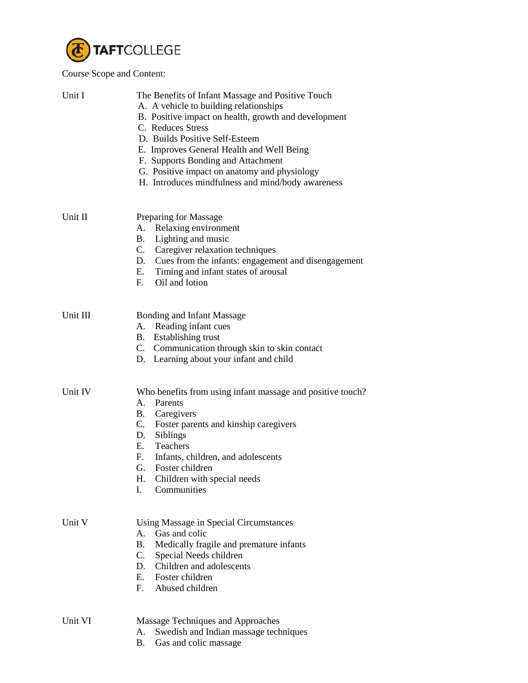

## Course Scope and Content:

| Unit I   | The Benefits of Infant Massage and Positive Touch<br>A. A vehicle to building relationships<br>B. Positive impact on health, growth and development<br>C. Reduces Stress<br>D. Builds Positive Self-Esteem<br>E. Improves General Health and Well Being<br>F. Supports Bonding and Attachment<br>G. Positive impact on anatomy and physiology<br>H. Introduces mindfulness and mind/body awareness |  |
|----------|----------------------------------------------------------------------------------------------------------------------------------------------------------------------------------------------------------------------------------------------------------------------------------------------------------------------------------------------------------------------------------------------------|--|
| Unit II  | Preparing for Massage<br>Relaxing environment<br>A.<br>Lighting and music<br>B.<br>C. Caregiver relaxation techniques<br>D. Cues from the infants: engagement and disengagement<br>E. Timing and infant states of arousal<br>F. Oil and lotion                                                                                                                                                     |  |
| Unit III | <b>Bonding and Infant Massage</b><br>A. Reading infant cues<br>B. Establishing trust<br>C. Communication through skin to skin contact<br>D. Learning about your infant and child                                                                                                                                                                                                                   |  |
| Unit IV  | Who benefits from using infant massage and positive touch?<br>A. Parents<br><b>B.</b> Caregivers<br>C. Foster parents and kinship caregivers<br>D. Siblings<br>E.<br>Teachers<br>F.<br>Infants, children, and adolescents<br>Foster children<br>G.<br>Н.<br>Children with special needs<br>Communities<br>I.                                                                                       |  |
| Unit V   | Using Massage in Special Circumstances<br>Gas and colic<br>A.<br>Medically fragile and premature infants<br>B.<br>C. Special Needs children<br>D. Children and adolescents<br>E. Foster children<br>F. Abused children                                                                                                                                                                             |  |
| Unit VI  | Massage Techniques and Approaches<br>Swedish and Indian massage techniques<br>А.<br>Gas and colic massage<br>B.                                                                                                                                                                                                                                                                                    |  |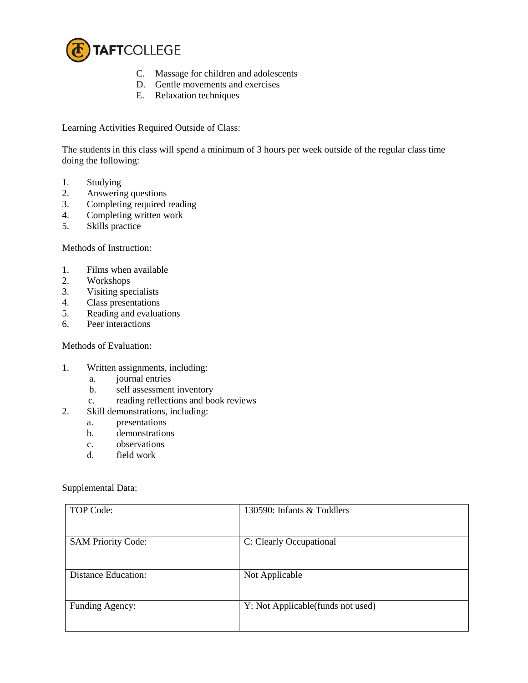

- C. Massage for children and adolescents
- D. Gentle movements and exercises
- E. Relaxation techniques

Learning Activities Required Outside of Class:

The students in this class will spend a minimum of 3 hours per week outside of the regular class time doing the following:

- 1. Studying
- 2. Answering questions<br>3. Completing required
- Completing required reading
- 4. Completing written work
- 5. Skills practice

Methods of Instruction:

- 1. Films when available
- 2. Workshops
- 3. Visiting specialists
- 4. Class presentations<br>5. Reading and evalua
- Reading and evaluations
- 6. Peer interactions

Methods of Evaluation:

- 1. Written assignments, including:
	- a. journal entries
	- b. self assessment inventory
	- c. reading reflections and book reviews
- 2. Skill demonstrations, including:
	- a. presentations
	- b. demonstrations
	- c. observations
	- d. field work

Supplemental Data:

| TOP Code:                  | 130590: Infants & Toddlers        |
|----------------------------|-----------------------------------|
| <b>SAM Priority Code:</b>  | C: Clearly Occupational           |
| <b>Distance Education:</b> | Not Applicable                    |
| Funding Agency:            | Y: Not Applicable(funds not used) |